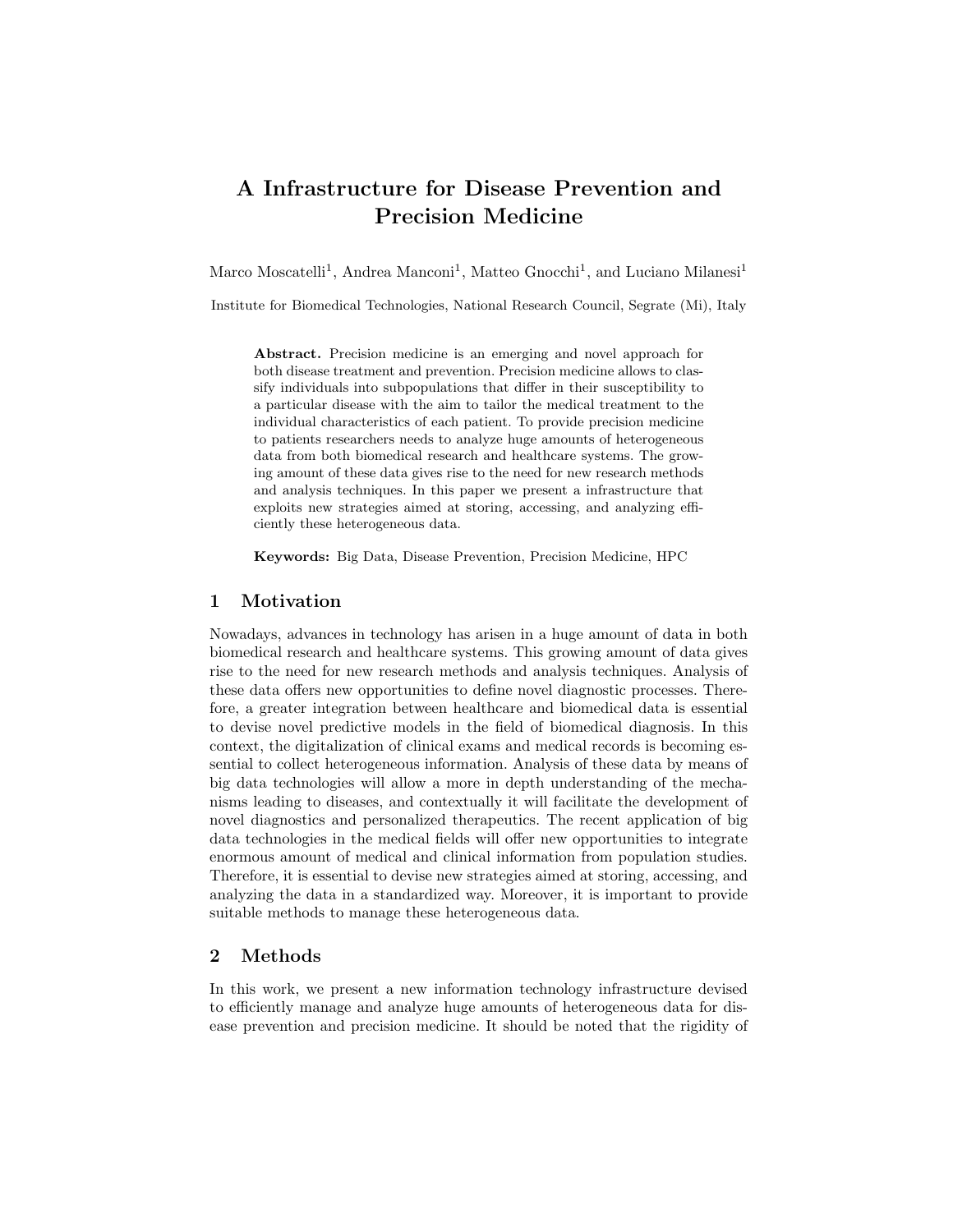# A Infrastructure for Disease Prevention and Precision Medicine

Marco Moscatelli<sup>1</sup>, Andrea Manconi<sup>1</sup>, Matteo Gnocchi<sup>1</sup>, and Luciano Milanesi<sup>1</sup>

Institute for Biomedical Technologies, National Research Council, Segrate (Mi), Italy

Abstract. Precision medicine is an emerging and novel approach for both disease treatment and prevention. Precision medicine allows to classify individuals into subpopulations that differ in their susceptibility to a particular disease with the aim to tailor the medical treatment to the individual characteristics of each patient. To provide precision medicine to patients researchers needs to analyze huge amounts of heterogeneous data from both biomedical research and healthcare systems. The growing amount of these data gives rise to the need for new research methods and analysis techniques. In this paper we present a infrastructure that exploits new strategies aimed at storing, accessing, and analyzing efficiently these heterogeneous data.

Keywords: Big Data, Disease Prevention, Precision Medicine, HPC

# 1 Motivation

Nowadays, advances in technology has arisen in a huge amount of data in both biomedical research and healthcare systems. This growing amount of data gives rise to the need for new research methods and analysis techniques. Analysis of these data offers new opportunities to define novel diagnostic processes. Therefore, a greater integration between healthcare and biomedical data is essential to devise novel predictive models in the field of biomedical diagnosis. In this context, the digitalization of clinical exams and medical records is becoming essential to collect heterogeneous information. Analysis of these data by means of big data technologies will allow a more in depth understanding of the mechanisms leading to diseases, and contextually it will facilitate the development of novel diagnostics and personalized therapeutics. The recent application of big data technologies in the medical fields will offer new opportunities to integrate enormous amount of medical and clinical information from population studies. Therefore, it is essential to devise new strategies aimed at storing, accessing, and analyzing the data in a standardized way. Moreover, it is important to provide suitable methods to manage these heterogeneous data.

# 2 Methods

In this work, we present a new information technology infrastructure devised to efficiently manage and analyze huge amounts of heterogeneous data for disease prevention and precision medicine. It should be noted that the rigidity of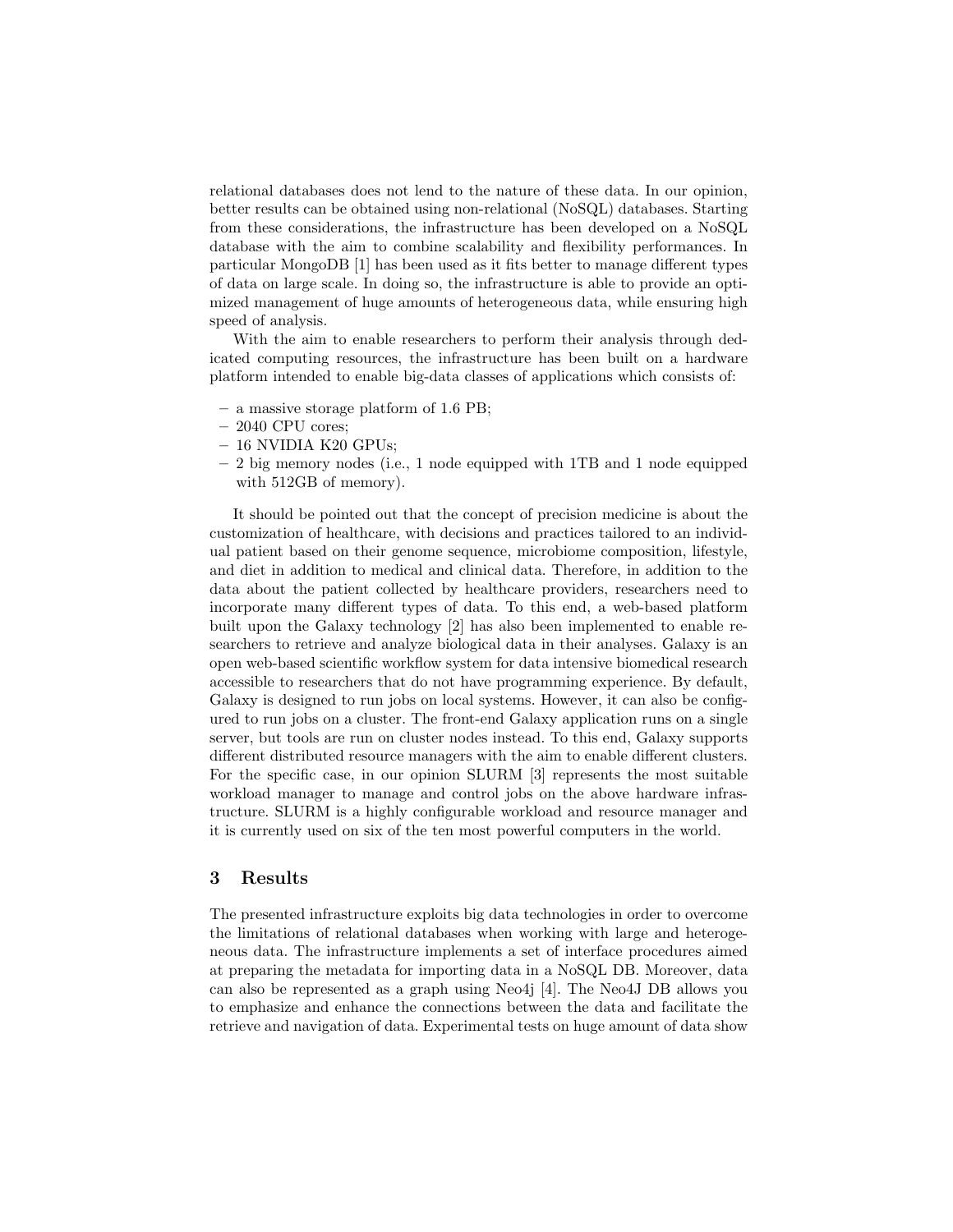relational databases does not lend to the nature of these data. In our opinion, better results can be obtained using non-relational (NoSQL) databases. Starting from these considerations, the infrastructure has been developed on a NoSQL database with the aim to combine scalability and flexibility performances. In particular MongoDB [1] has been used as it fits better to manage different types of data on large scale. In doing so, the infrastructure is able to provide an optimized management of huge amounts of heterogeneous data, while ensuring high speed of analysis.

With the aim to enable researchers to perform their analysis through dedicated computing resources, the infrastructure has been built on a hardware platform intended to enable big-data classes of applications which consists of:

- a massive storage platform of 1.6 PB;
- 2040 CPU cores;
- 16 NVIDIA K20 GPUs;
- 2 big memory nodes (i.e., 1 node equipped with 1TB and 1 node equipped with 512GB of memory).

It should be pointed out that the concept of precision medicine is about the customization of healthcare, with decisions and practices tailored to an individual patient based on their genome sequence, microbiome composition, lifestyle, and diet in addition to medical and clinical data. Therefore, in addition to the data about the patient collected by healthcare providers, researchers need to incorporate many different types of data. To this end, a web-based platform built upon the Galaxy technology [2] has also been implemented to enable researchers to retrieve and analyze biological data in their analyses. Galaxy is an open web-based scientific workflow system for data intensive biomedical research accessible to researchers that do not have programming experience. By default, Galaxy is designed to run jobs on local systems. However, it can also be configured to run jobs on a cluster. The front-end Galaxy application runs on a single server, but tools are run on cluster nodes instead. To this end, Galaxy supports different distributed resource managers with the aim to enable different clusters. For the specific case, in our opinion SLURM [3] represents the most suitable workload manager to manage and control jobs on the above hardware infrastructure. SLURM is a highly configurable workload and resource manager and it is currently used on six of the ten most powerful computers in the world.

#### 3 Results

The presented infrastructure exploits big data technologies in order to overcome the limitations of relational databases when working with large and heterogeneous data. The infrastructure implements a set of interface procedures aimed at preparing the metadata for importing data in a NoSQL DB. Moreover, data can also be represented as a graph using Neo4j [4]. The Neo4J DB allows you to emphasize and enhance the connections between the data and facilitate the retrieve and navigation of data. Experimental tests on huge amount of data show